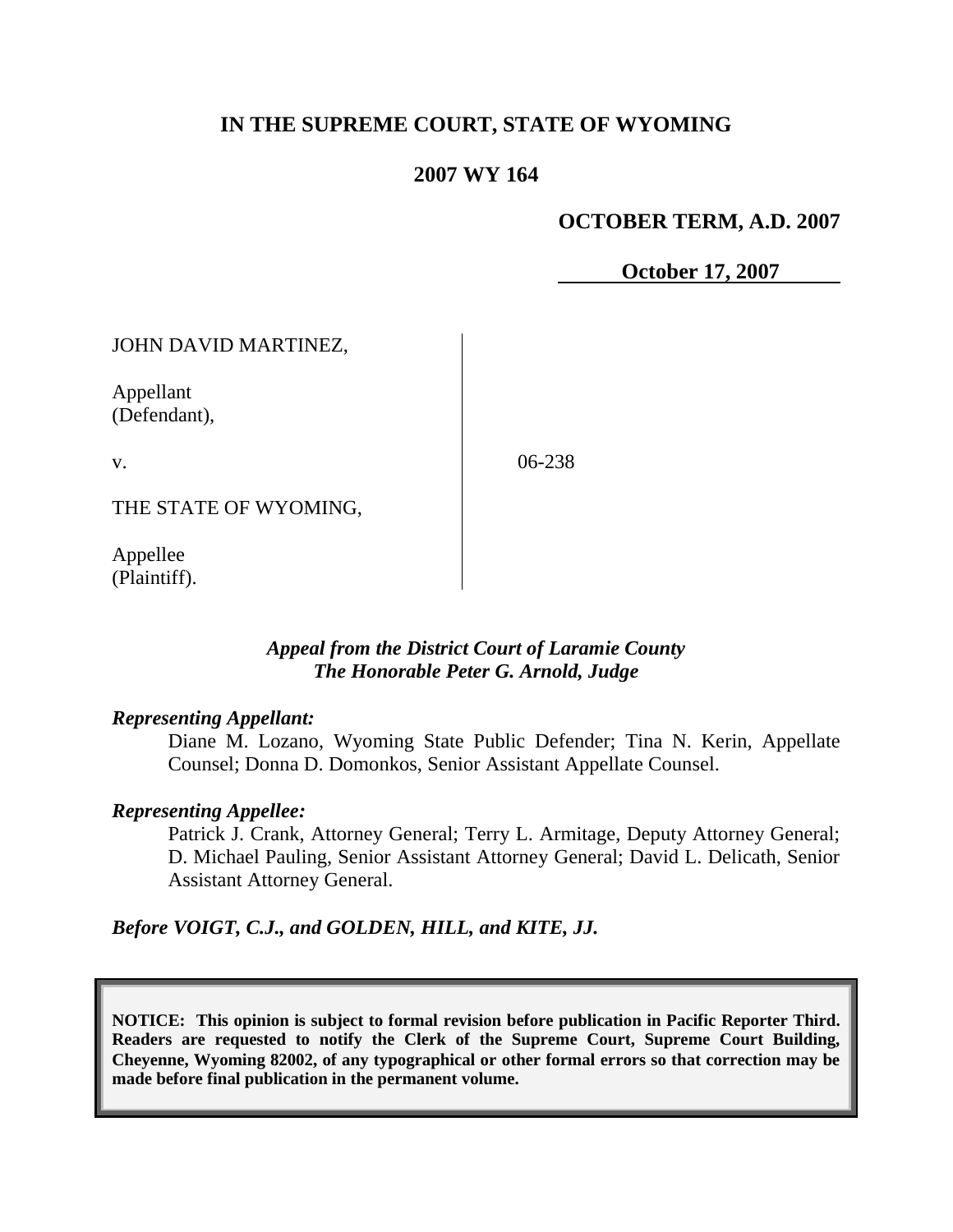# **IN THE SUPREME COURT, STATE OF WYOMING**

### **2007 WY 164**

### **OCTOBER TERM, A.D. 2007**

**October 17, 2007**

JOHN DAVID MARTINEZ,

Appellant (Defendant),

v.

06-238

THE STATE OF WYOMING,

Appellee (Plaintiff).

### *Appeal from the District Court of Laramie County The Honorable Peter G. Arnold, Judge*

### *Representing Appellant:*

Diane M. Lozano, Wyoming State Public Defender; Tina N. Kerin, Appellate Counsel; Donna D. Domonkos, Senior Assistant Appellate Counsel.

### *Representing Appellee:*

Patrick J. Crank, Attorney General; Terry L. Armitage, Deputy Attorney General; D. Michael Pauling, Senior Assistant Attorney General; David L. Delicath, Senior Assistant Attorney General.

*Before VOIGT, C.J., and GOLDEN, HILL, and KITE, JJ.*

**NOTICE: This opinion is subject to formal revision before publication in Pacific Reporter Third. Readers are requested to notify the Clerk of the Supreme Court, Supreme Court Building, Cheyenne, Wyoming 82002, of any typographical or other formal errors so that correction may be made before final publication in the permanent volume.**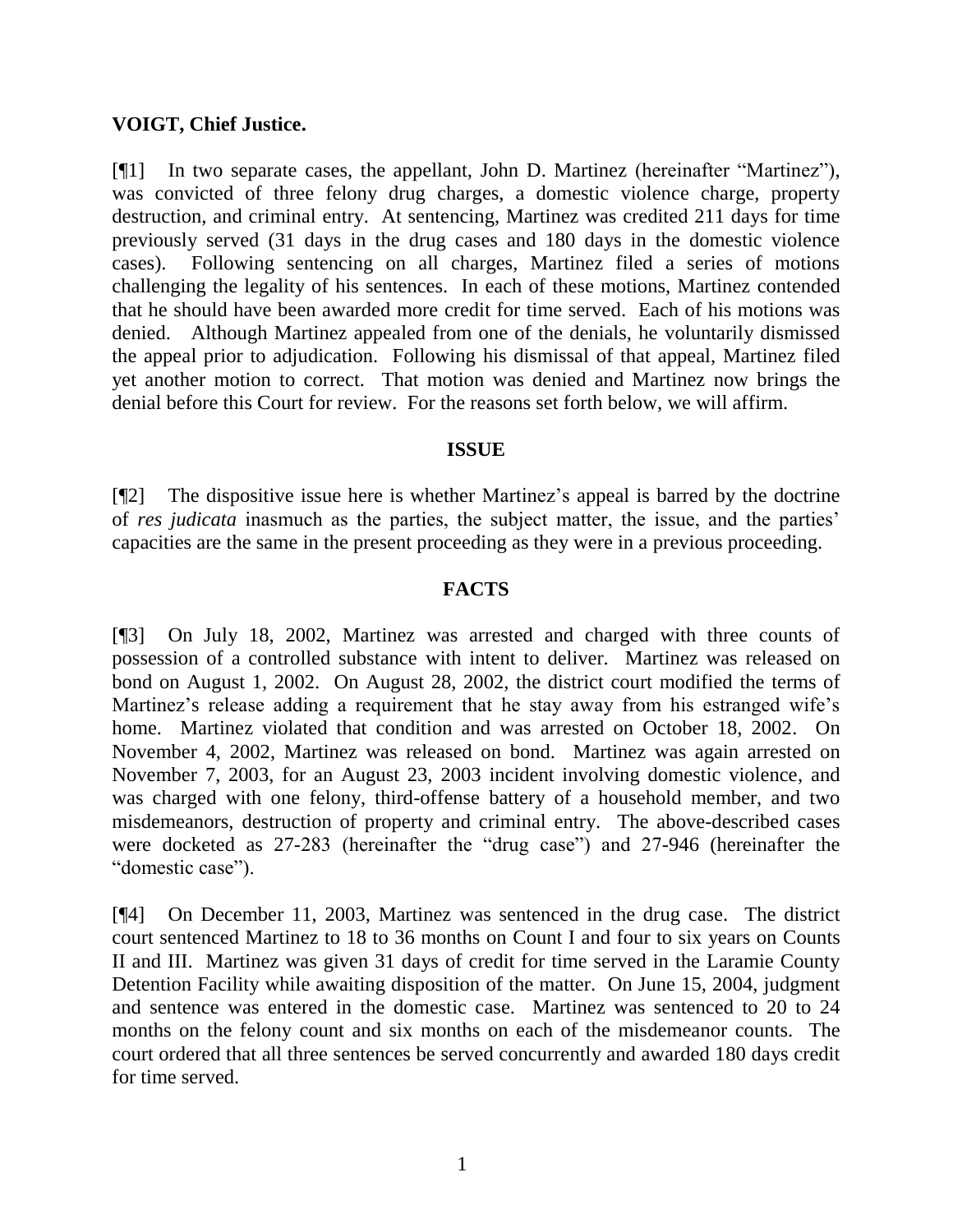### **VOIGT, Chief Justice.**

[¶1] In two separate cases, the appellant, John D. Martinez (hereinafter "Martinez"), was convicted of three felony drug charges, a domestic violence charge, property destruction, and criminal entry. At sentencing, Martinez was credited 211 days for time previously served (31 days in the drug cases and 180 days in the domestic violence cases). Following sentencing on all charges, Martinez filed a series of motions challenging the legality of his sentences. In each of these motions, Martinez contended that he should have been awarded more credit for time served. Each of his motions was denied. Although Martinez appealed from one of the denials, he voluntarily dismissed the appeal prior to adjudication. Following his dismissal of that appeal, Martinez filed yet another motion to correct. That motion was denied and Martinez now brings the denial before this Court for review. For the reasons set forth below, we will affirm.

#### **ISSUE**

[¶2] The dispositive issue here is whether Martinez's appeal is barred by the doctrine of *res judicata* inasmuch as the parties, the subject matter, the issue, and the parties' capacities are the same in the present proceeding as they were in a previous proceeding.

#### **FACTS**

[¶3] On July 18, 2002, Martinez was arrested and charged with three counts of possession of a controlled substance with intent to deliver. Martinez was released on bond on August 1, 2002. On August 28, 2002, the district court modified the terms of Martinez's release adding a requirement that he stay away from his estranged wife's home. Martinez violated that condition and was arrested on October 18, 2002. On November 4, 2002, Martinez was released on bond. Martinez was again arrested on November 7, 2003, for an August 23, 2003 incident involving domestic violence, and was charged with one felony, third-offense battery of a household member, and two misdemeanors, destruction of property and criminal entry. The above-described cases were docketed as 27-283 (hereinafter the "drug case") and 27-946 (hereinafter the "domestic case").

[¶4] On December 11, 2003, Martinez was sentenced in the drug case. The district court sentenced Martinez to 18 to 36 months on Count I and four to six years on Counts II and III. Martinez was given 31 days of credit for time served in the Laramie County Detention Facility while awaiting disposition of the matter. On June 15, 2004, judgment and sentence was entered in the domestic case. Martinez was sentenced to 20 to 24 months on the felony count and six months on each of the misdemeanor counts. The court ordered that all three sentences be served concurrently and awarded 180 days credit for time served.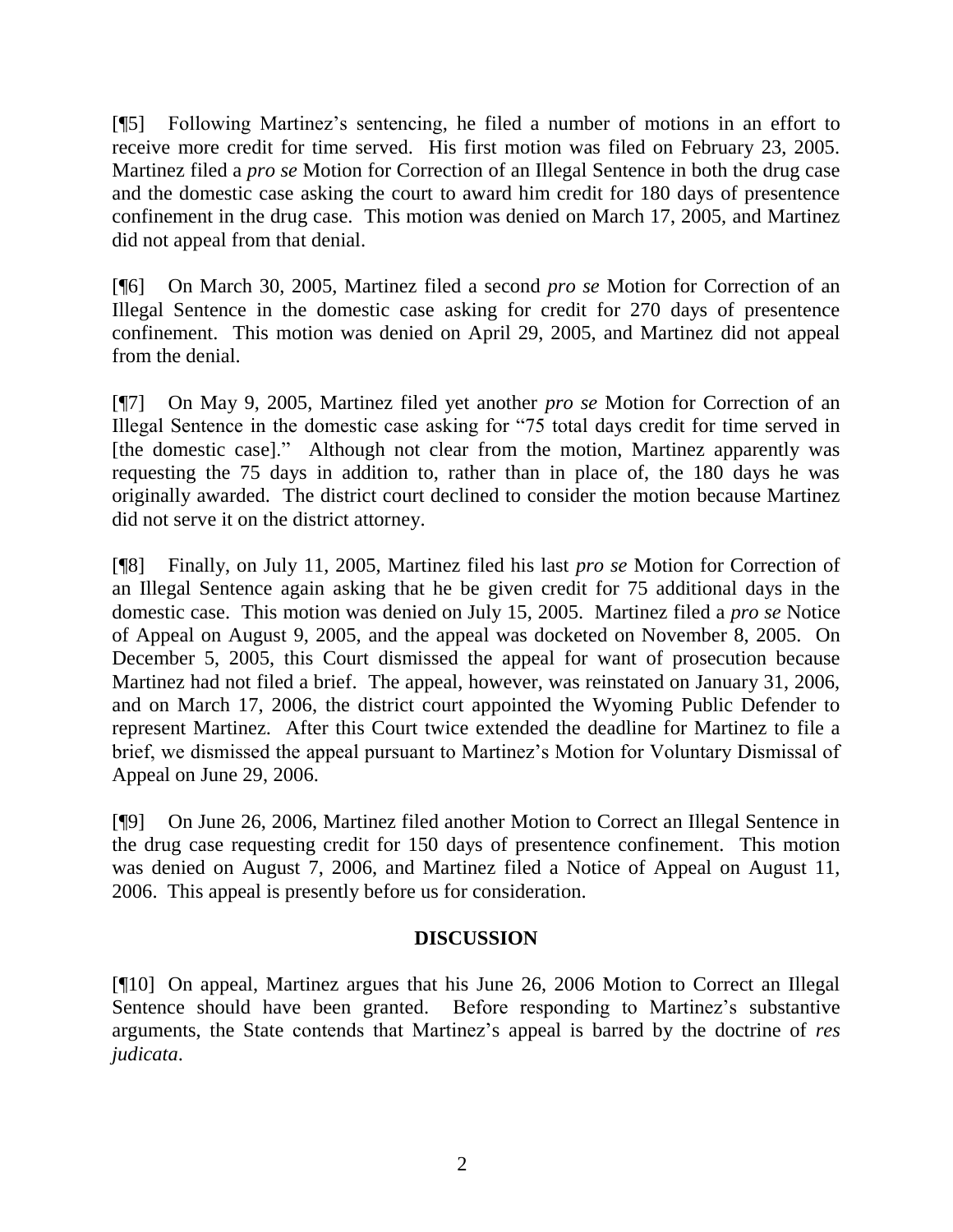[¶5] Following Martinez's sentencing, he filed a number of motions in an effort to receive more credit for time served. His first motion was filed on February 23, 2005. Martinez filed a *pro se* Motion for Correction of an Illegal Sentence in both the drug case and the domestic case asking the court to award him credit for 180 days of presentence confinement in the drug case. This motion was denied on March 17, 2005, and Martinez did not appeal from that denial.

[¶6] On March 30, 2005, Martinez filed a second *pro se* Motion for Correction of an Illegal Sentence in the domestic case asking for credit for 270 days of presentence confinement. This motion was denied on April 29, 2005, and Martinez did not appeal from the denial.

[¶7] On May 9, 2005, Martinez filed yet another *pro se* Motion for Correction of an Illegal Sentence in the domestic case asking for "75 total days credit for time served in [the domestic case]." Although not clear from the motion, Martinez apparently was requesting the 75 days in addition to, rather than in place of, the 180 days he was originally awarded. The district court declined to consider the motion because Martinez did not serve it on the district attorney.

[¶8] Finally, on July 11, 2005, Martinez filed his last *pro se* Motion for Correction of an Illegal Sentence again asking that he be given credit for 75 additional days in the domestic case. This motion was denied on July 15, 2005. Martinez filed a *pro se* Notice of Appeal on August 9, 2005, and the appeal was docketed on November 8, 2005. On December 5, 2005, this Court dismissed the appeal for want of prosecution because Martinez had not filed a brief. The appeal, however, was reinstated on January 31, 2006, and on March 17, 2006, the district court appointed the Wyoming Public Defender to represent Martinez. After this Court twice extended the deadline for Martinez to file a brief, we dismissed the appeal pursuant to Martinez's Motion for Voluntary Dismissal of Appeal on June 29, 2006.

[¶9] On June 26, 2006, Martinez filed another Motion to Correct an Illegal Sentence in the drug case requesting credit for 150 days of presentence confinement. This motion was denied on August 7, 2006, and Martinez filed a Notice of Appeal on August 11, 2006. This appeal is presently before us for consideration.

## **DISCUSSION**

[¶10] On appeal, Martinez argues that his June 26, 2006 Motion to Correct an Illegal Sentence should have been granted. Before responding to Martinez's substantive arguments, the State contends that Martinez's appeal is barred by the doctrine of *res judicata*.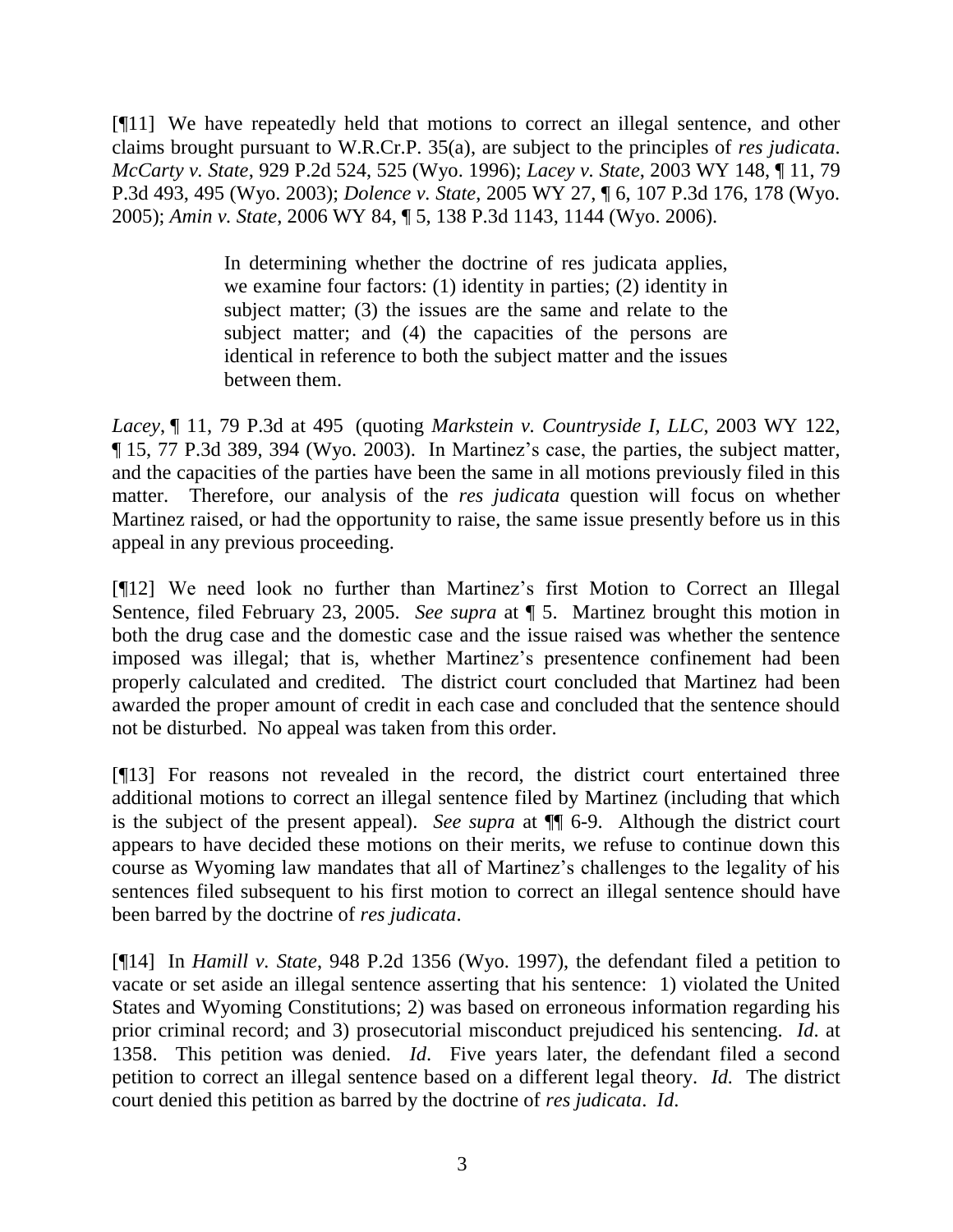[¶11] We have repeatedly held that motions to correct an illegal sentence, and other claims brought pursuant to W.R.Cr.P. 35(a), are subject to the principles of *res judicata*. *McCarty v. State*, 929 P.2d 524, 525 (Wyo. 1996); *Lacey v. State*, 2003 WY 148, ¶ 11, 79 P.3d 493, 495 (Wyo. 2003); *Dolence v. State*, 2005 WY 27, ¶ 6, 107 P.3d 176, 178 (Wyo. 2005); *Amin v. State*, 2006 WY 84, ¶ 5, 138 P.3d 1143, 1144 (Wyo. 2006).

> In determining whether the doctrine of res judicata applies, we examine four factors: (1) identity in parties; (2) identity in subject matter; (3) the issues are the same and relate to the subject matter; and (4) the capacities of the persons are identical in reference to both the subject matter and the issues between them.

*Lacey*, ¶ 11, 79 P.3d at 495 (quoting *Markstein v. Countryside I, LLC*, 2003 WY 122, ¶ 15, 77 P.3d 389, 394 (Wyo. 2003). In Martinez's case, the parties, the subject matter, and the capacities of the parties have been the same in all motions previously filed in this matter. Therefore, our analysis of the *res judicata* question will focus on whether Martinez raised, or had the opportunity to raise, the same issue presently before us in this appeal in any previous proceeding.

[¶12] We need look no further than Martinez's first Motion to Correct an Illegal Sentence, filed February 23, 2005. *See supra* at ¶ 5. Martinez brought this motion in both the drug case and the domestic case and the issue raised was whether the sentence imposed was illegal; that is, whether Martinez's presentence confinement had been properly calculated and credited. The district court concluded that Martinez had been awarded the proper amount of credit in each case and concluded that the sentence should not be disturbed. No appeal was taken from this order.

[¶13] For reasons not revealed in the record, the district court entertained three additional motions to correct an illegal sentence filed by Martinez (including that which is the subject of the present appeal). *See supra* at ¶¶ 6-9. Although the district court appears to have decided these motions on their merits, we refuse to continue down this course as Wyoming law mandates that all of Martinez's challenges to the legality of his sentences filed subsequent to his first motion to correct an illegal sentence should have been barred by the doctrine of *res judicata*.

[¶14] In *Hamill v. State*, 948 P.2d 1356 (Wyo. 1997), the defendant filed a petition to vacate or set aside an illegal sentence asserting that his sentence: 1) violated the United States and Wyoming Constitutions; 2) was based on erroneous information regarding his prior criminal record; and 3) prosecutorial misconduct prejudiced his sentencing. *Id*. at 1358. This petition was denied. *Id*. Five years later, the defendant filed a second petition to correct an illegal sentence based on a different legal theory. *Id.* The district court denied this petition as barred by the doctrine of *res judicata*. *Id*.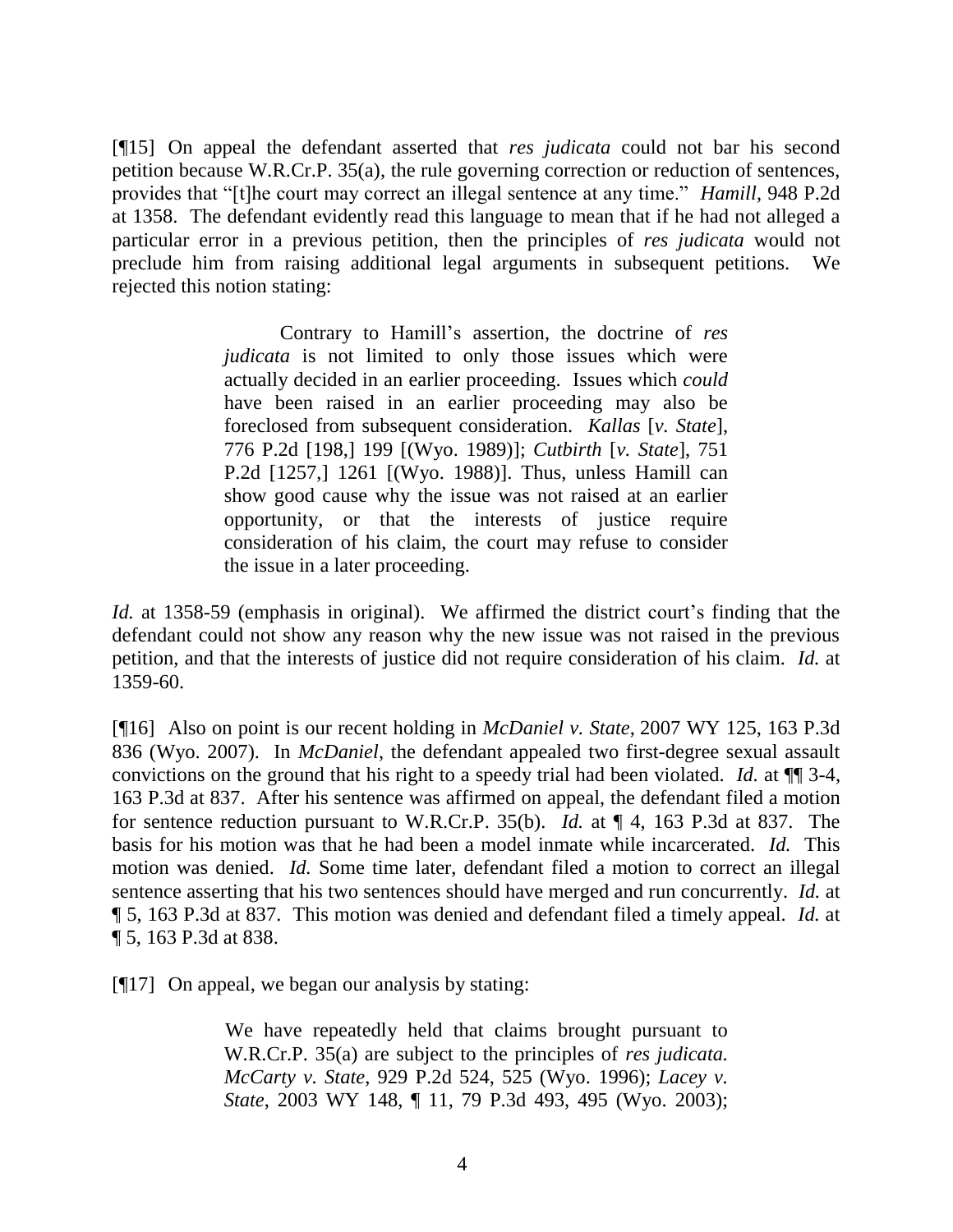[¶15] On appeal the defendant asserted that *res judicata* could not bar his second petition because W.R.Cr.P. 35(a), the rule governing correction or reduction of sentences, provides that "[t]he court may correct an illegal sentence at any time." *Hamill*, 948 P.2d at 1358. The defendant evidently read this language to mean that if he had not alleged a particular error in a previous petition, then the principles of *res judicata* would not preclude him from raising additional legal arguments in subsequent petitions. We rejected this notion stating:

> Contrary to Hamill's assertion, the doctrine of *res judicata* is not limited to only those issues which were actually decided in an earlier proceeding. Issues which *could* have been raised in an earlier proceeding may also be foreclosed from subsequent consideration. *Kallas* [*v. State*], 776 P.2d [198,] 199 [(Wyo. 1989)]; *Cutbirth* [*v. State*], 751 P.2d [1257,] 1261 [(Wyo. 1988)]. Thus, unless Hamill can show good cause why the issue was not raised at an earlier opportunity, or that the interests of justice require consideration of his claim, the court may refuse to consider the issue in a later proceeding.

*Id.* at 1358-59 (emphasis in original). We affirmed the district court's finding that the defendant could not show any reason why the new issue was not raised in the previous petition, and that the interests of justice did not require consideration of his claim. *Id.* at 1359-60.

[¶16] Also on point is our recent holding in *McDaniel v. State*, 2007 WY 125, 163 P.3d 836 (Wyo. 2007). In *McDaniel*, the defendant appealed two first-degree sexual assault convictions on the ground that his right to a speedy trial had been violated. *Id.* at ¶¶ 3-4, 163 P.3d at 837. After his sentence was affirmed on appeal, the defendant filed a motion for sentence reduction pursuant to W.R.Cr.P. 35(b). *Id.* at ¶ 4, 163 P.3d at 837. The basis for his motion was that he had been a model inmate while incarcerated. *Id.* This motion was denied. *Id.* Some time later, defendant filed a motion to correct an illegal sentence asserting that his two sentences should have merged and run concurrently. *Id.* at ¶ 5, 163 P.3d at 837. This motion was denied and defendant filed a timely appeal. *Id.* at ¶ 5, 163 P.3d at 838.

[¶17] On appeal, we began our analysis by stating:

We have repeatedly held that claims brought pursuant to W.R.Cr.P. 35(a) are subject to the principles of *res judicata. McCarty v. State*, 929 P.2d 524, 525 (Wyo. 1996); *Lacey v. State*, 2003 WY 148, ¶ 11, 79 P.3d 493, 495 (Wyo. 2003);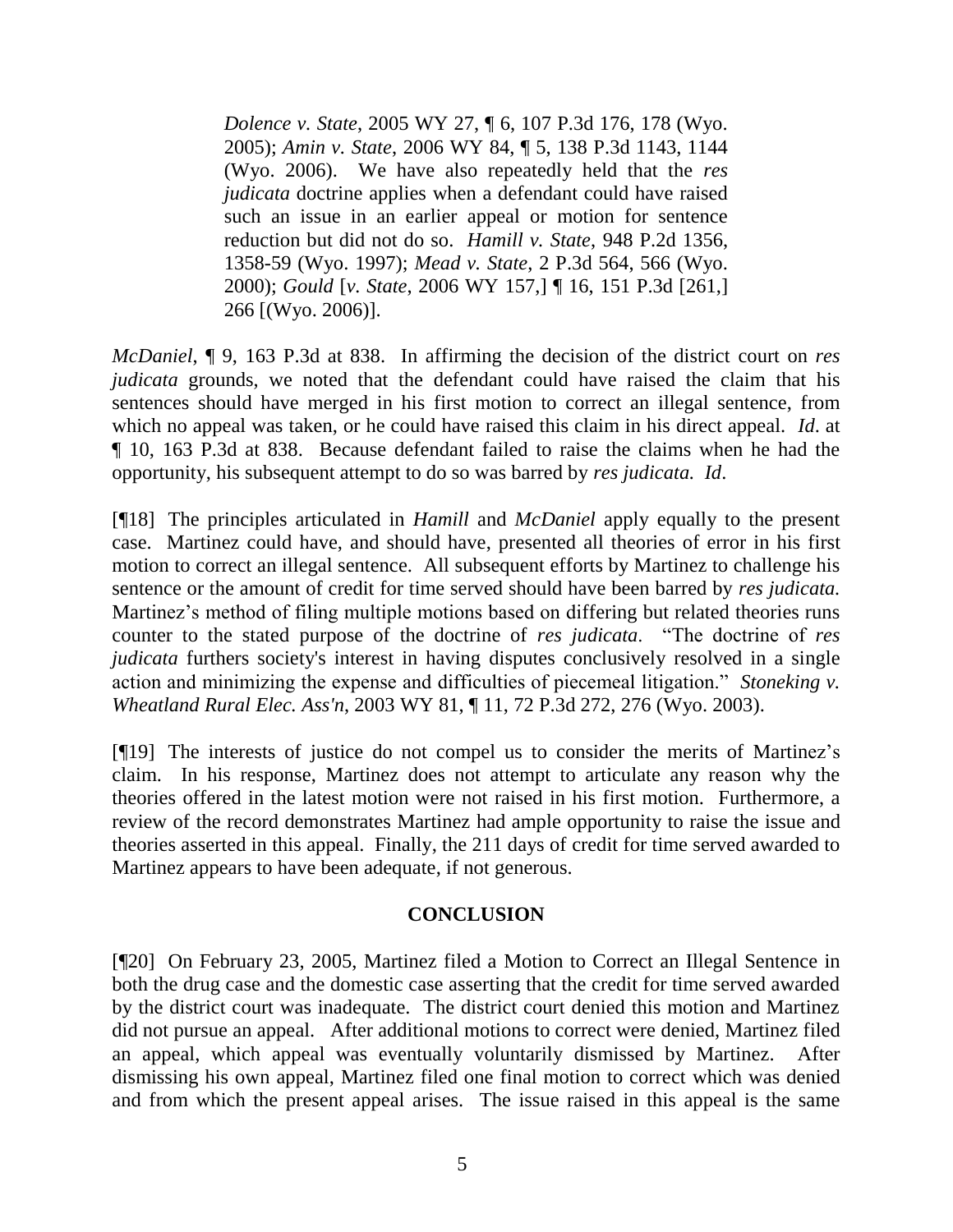*Dolence v. State*, 2005 WY 27, ¶ 6, 107 P.3d 176, 178 (Wyo. 2005); *Amin v. State*, 2006 WY 84, ¶ 5, 138 P.3d 1143, 1144 (Wyo. 2006). We have also repeatedly held that the *res judicata* doctrine applies when a defendant could have raised such an issue in an earlier appeal or motion for sentence reduction but did not do so. *Hamill v. State*, 948 P.2d 1356, 1358-59 (Wyo. 1997); *Mead v. State*, 2 P.3d 564, 566 (Wyo. 2000); *Gould* [*v. State*, 2006 WY 157,] ¶ 16, 151 P.3d [261,] 266 [(Wyo. 2006)].

*McDaniel*, ¶ 9, 163 P.3d at 838. In affirming the decision of the district court on *res judicata* grounds, we noted that the defendant could have raised the claim that his sentences should have merged in his first motion to correct an illegal sentence, from which no appeal was taken, or he could have raised this claim in his direct appeal. *Id*. at ¶ 10, 163 P.3d at 838. Because defendant failed to raise the claims when he had the opportunity, his subsequent attempt to do so was barred by *res judicata. Id*.

[¶18] The principles articulated in *Hamill* and *McDaniel* apply equally to the present case. Martinez could have, and should have, presented all theories of error in his first motion to correct an illegal sentence. All subsequent efforts by Martinez to challenge his sentence or the amount of credit for time served should have been barred by *res judicata.*  Martinez's method of filing multiple motions based on differing but related theories runs counter to the stated purpose of the doctrine of *res judicata*. "The doctrine of *res judicata* furthers society's interest in having disputes conclusively resolved in a single action and minimizing the expense and difficulties of piecemeal litigation." *Stoneking v. Wheatland Rural Elec. Ass'n*, 2003 WY 81, ¶ 11, 72 P.3d 272, 276 (Wyo. 2003).

[¶19] The interests of justice do not compel us to consider the merits of Martinez's claim. In his response, Martinez does not attempt to articulate any reason why the theories offered in the latest motion were not raised in his first motion. Furthermore, a review of the record demonstrates Martinez had ample opportunity to raise the issue and theories asserted in this appeal. Finally, the 211 days of credit for time served awarded to Martinez appears to have been adequate, if not generous.

### **CONCLUSION**

[¶20] On February 23, 2005, Martinez filed a Motion to Correct an Illegal Sentence in both the drug case and the domestic case asserting that the credit for time served awarded by the district court was inadequate. The district court denied this motion and Martinez did not pursue an appeal. After additional motions to correct were denied, Martinez filed an appeal, which appeal was eventually voluntarily dismissed by Martinez. After dismissing his own appeal, Martinez filed one final motion to correct which was denied and from which the present appeal arises. The issue raised in this appeal is the same